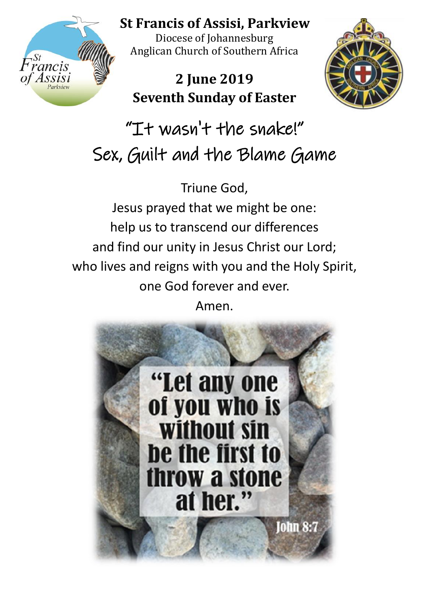

**St Francis of Assisi, Parkview** 

Diocese of Johannesburg Anglican Church of Southern Africa

# **2 June 2019 Seventh Sunday of Easter**



"It wasn't the snake!" Sex, Guilt and the Blame Game

Triune God, Jesus prayed that we might be one: help us to transcend our differences and find our unity in Jesus Christ our Lord; who lives and reigns with you and the Holy Spirit, one God forever and ever. Amen.

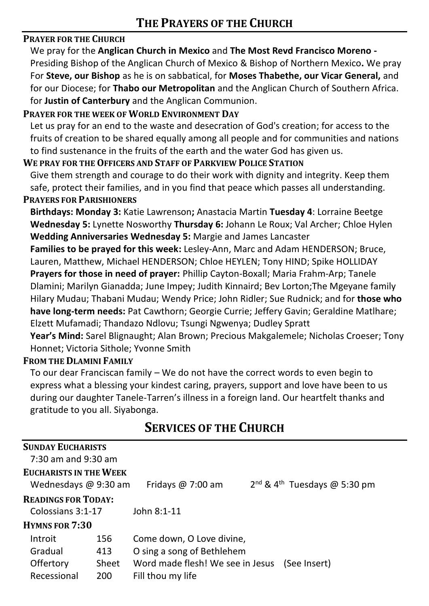#### **PRAYER FOR THE CHURCH**

We pray for the **Anglican Church in Mexico** and **The Most Revd Francisco Moreno -** Presiding Bishop of the Anglican Church of Mexico & Bishop of Northern Mexico**.** We pray For **Steve, our Bishop** as he is on sabbatical, for **Moses Thabethe, our Vicar General,** and for our Diocese; for **Thabo our Metropolitan** and the Anglican Church of Southern Africa. for **Justin of Canterbury** and the Anglican Communion.

#### **PRAYER FOR THE WEEK OF WORLD ENVIRONMENT DAY**

Let us pray for an end to the waste and desecration of God's creation; for access to the fruits of creation to be shared equally among all people and for communities and nations to find sustenance in the fruits of the earth and the water God has given us.

#### **WE PRAY FOR THE OFFICERS AND STAFF OF PARKVIEW POLICE STATION**

Give them strength and courage to do their work with dignity and integrity. Keep them safe, protect their families, and in you find that peace which passes all understanding. **PRAYERS FOR PARISHIONERS**

#### **Birthdays: Monday 3:** Katie Lawrenson**;** Anastacia Martin **Tuesday 4**: Lorraine Beetge **Wednesday 5:** Lynette Nosworthy **Thursday 6:** Johann Le Roux; Val Archer; Chloe Hylen **Wedding Anniversaries Wednesday 5:** Margie and James Lancaster

**Families to be prayed for this week:** Lesley-Ann, Marc and Adam HENDERSON; Bruce, Lauren, Matthew, Michael HENDERSON; Chloe HEYLEN; Tony HIND; Spike HOLLIDAY **Prayers for those in need of prayer:** Phillip Cayton-Boxall; Maria Frahm-Arp; Tanele Dlamini; Marilyn Gianadda; June Impey; Judith Kinnaird; Bev Lorton;The Mgeyane family Hilary Mudau; Thabani Mudau; Wendy Price; John Ridler; Sue Rudnick; and for **those who have long-term needs:** Pat Cawthorn; Georgie Currie; Jeffery Gavin; Geraldine Matlhare; Elzett Mufamadi; Thandazo Ndlovu; Tsungi Ngwenya; Dudley Spratt

**Year's Mind:** Sarel Blignaught; Alan Brown; Precious Makgalemele; Nicholas Croeser; Tony Honnet; Victoria Sithole; Yvonne Smith

#### **FROM THE DLAMINI FAMILY**

To our dear Franciscan family – We do not have the correct words to even begin to express what a blessing your kindest caring, prayers, support and love have been to us during our daughter Tanele-Tarren's illness in a foreign land. Our heartfelt thanks and gratitude to you all. Siyabonga.

| <b>SERVICES OF THE CHURCH</b> |
|-------------------------------|
|-------------------------------|

| <b>SUNDAY EUCHARISTS</b><br>$7:30$ am and 9:30 am      |       |                                                                     |  |  |  |
|--------------------------------------------------------|-------|---------------------------------------------------------------------|--|--|--|
| <b>EUCHARISTS IN THE WEEK</b><br>Wednesdays $@9:30$ am |       | $2^{nd}$ & 4 <sup>th</sup> Tuesdays @ 5:30 pm<br>Fridays $@7:00$ am |  |  |  |
| <b>READINGS FOR TODAY:</b>                             |       |                                                                     |  |  |  |
| Colossians 3:1-17                                      |       | John 8:1-11                                                         |  |  |  |
| <b>HYMNS FOR 7:30</b>                                  |       |                                                                     |  |  |  |
| Introit                                                | 156   | Come down, O Love divine,                                           |  |  |  |
| Gradual                                                | 413   | O sing a song of Bethlehem                                          |  |  |  |
| Offertory                                              | Sheet | Word made flesh! We see in Jesus<br>(See Insert)                    |  |  |  |
| Recessional                                            | 200   | Fill thou my life                                                   |  |  |  |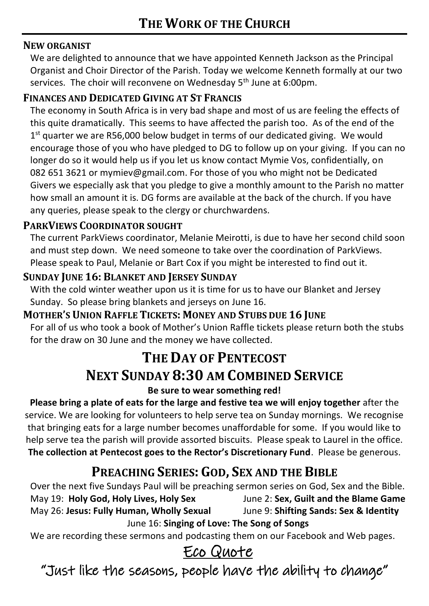#### **NEW ORGANIST**

We are delighted to announce that we have appointed Kenneth Jackson as the Principal Organist and Choir Director of the Parish. Today we welcome Kenneth formally at our two services. The choir will reconvene on Wednesday 5<sup>th</sup> June at 6:00pm.

### **FINANCES AND DEDICATED GIVING AT ST FRANCIS**

The economy in South Africa is in very bad shape and most of us are feeling the effects of this quite dramatically. This seems to have affected the parish too. As of the end of the  $1<sup>st</sup>$  quarter we are R56,000 below budget in terms of our dedicated giving. We would encourage those of you who have pledged to DG to follow up on your giving. If you can no longer do so it would help us if you let us know contact Mymie Vos, confidentially, on 082 651 3621 or mymiev@gmail.com. For those of you who might not be Dedicated Givers we especially ask that you pledge to give a monthly amount to the Parish no matter how small an amount it is. DG forms are available at the back of the church. If you have any queries, please speak to the clergy or churchwardens.

### **PARKVIEWS COORDINATOR SOUGHT**

The current ParkViews coordinator, Melanie Meirotti, is due to have her second child soon and must step down. We need someone to take over the coordination of ParkViews. Please speak to Paul, Melanie or Bart Cox if you might be interested to find out it.

### **SUNDAY JUNE 16: BLANKET AND JERSEY SUNDAY**

With the cold winter weather upon us it is time for us to have our Blanket and Jersey Sunday. So please bring blankets and jerseys on June 16.

#### **MOTHER'S UNION RAFFLE TICKETS: MONEY AND STUBS DUE 16 JUNE**

For all of us who took a book of Mother's Union Raffle tickets please return both the stubs for the draw on 30 June and the money we have collected.

## **THE DAY OF PENTECOST NEXT SUNDAY 8:30 AM COMBINED SERVICE**

#### **Be sure to wear something red!**

**Please bring a plate of eats for the large and festive tea we will enjoy together** after the service. We are looking for volunteers to help serve tea on Sunday mornings. We recognise that bringing eats for a large number becomes unaffordable for some. If you would like to help serve tea the parish will provide assorted biscuits. Please speak to Laurel in the office. **The collection at Pentecost goes to the Rector's Discretionary Fund**. Please be generous.

### **PREACHING SERIES: GOD, SEX AND THE BIBLE**

Over the next five Sundays Paul will be preaching sermon series on God, Sex and the Bible. May 19: **Holy God, Holy Lives, Holy Sex** June 2: **Sex, Guilt and the Blame Game** May 26: **Jesus: Fully Human, Wholly Sexual** June 9: **Shifting Sands: Sex & Identity** June 16: **Singing of Love: The Song of Songs**

We are recording these sermons and podcasting them on our Facebook and Web pages.

## Eco Quote

"Just like the seasons, people have the ability to change"